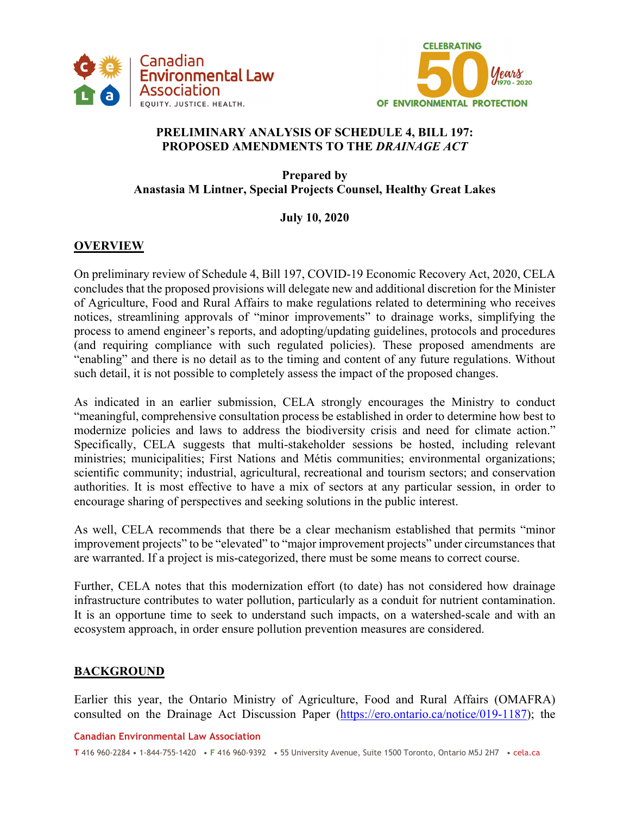



## **PRELIMINARY ANALYSIS OF SCHEDULE 4, BILL 197: PROPOSED AMENDMENTS TO THE** *DRAINAGE ACT*

**Prepared by Anastasia M Lintner, Special Projects Counsel, Healthy Great Lakes** 

# **July 10, 2020**

# **OVERVIEW**

On preliminary review of Schedule 4, Bill 197, COVID-19 Economic Recovery Act, 2020, CELA concludes that the proposed provisions will delegate new and additional discretion for the Minister of Agriculture, Food and Rural Affairs to make regulations related to determining who receives notices, streamlining approvals of "minor improvements" to drainage works, simplifying the process to amend engineer's reports, and adopting/updating guidelines, protocols and procedures (and requiring compliance with such regulated policies). These proposed amendments are "enabling" and there is no detail as to the timing and content of any future regulations. Without such detail, it is not possible to completely assess the impact of the proposed changes.

As indicated in an earlier submission, CELA strongly encourages the Ministry to conduct "meaningful, comprehensive consultation process be established in order to determine how best to modernize policies and laws to address the biodiversity crisis and need for climate action." Specifically, CELA suggests that multi-stakeholder sessions be hosted, including relevant ministries; municipalities; First Nations and Métis communities; environmental organizations; scientific community; industrial, agricultural, recreational and tourism sectors; and conservation authorities. It is most effective to have a mix of sectors at any particular session, in order to encourage sharing of perspectives and seeking solutions in the public interest.

As well, CELA recommends that there be a clear mechanism established that permits "minor improvement projects" to be "elevated" to "major improvement projects" under circumstances that are warranted. If a project is mis-categorized, there must be some means to correct course.

Further, CELA notes that this modernization effort (to date) has not considered how drainage infrastructure contributes to water pollution, particularly as a conduit for nutrient contamination. It is an opportune time to seek to understand such impacts, on a watershed-scale and with an ecosystem approach, in order ensure pollution prevention measures are considered.

## **BACKGROUND**

Earlier this year, the Ontario Ministry of Agriculture, Food and Rural Affairs (OMAFRA) consulted on the Drainage Act Discussion Paper (https://ero.ontario.ca/notice/019-1187); the

#### **Canadian Environmental Law Association**

**T** 416 960-2284 • 1-844-755-1420 • **F** 416 960-9392 • 55 University Avenue, Suite 1500 Toronto, Ontario M5J 2H7 • cela.ca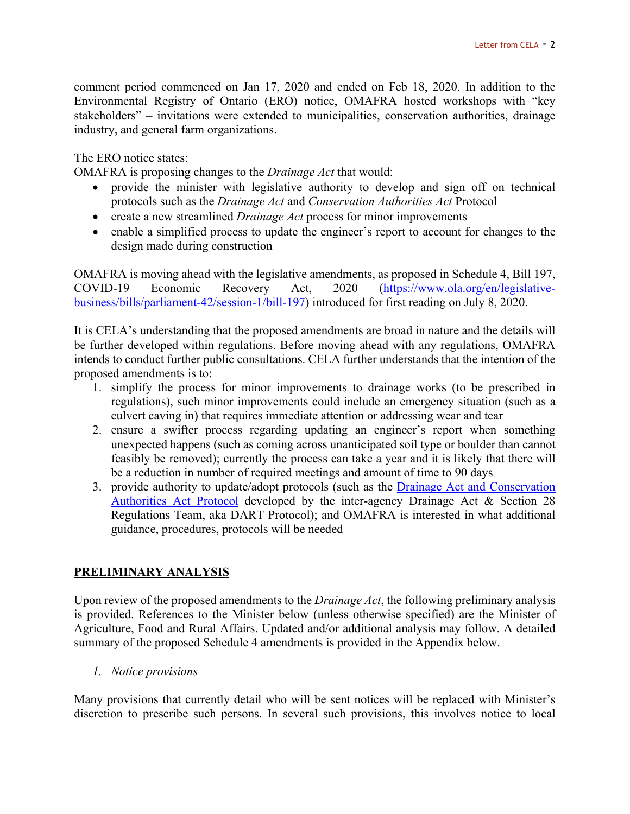comment period commenced on Jan 17, 2020 and ended on Feb 18, 2020. In addition to the Environmental Registry of Ontario (ERO) notice, OMAFRA hosted workshops with "key stakeholders" – invitations were extended to municipalities, conservation authorities, drainage industry, and general farm organizations.

The ERO notice states:

OMAFRA is proposing changes to the *Drainage Act* that would:

- provide the minister with legislative authority to develop and sign off on technical protocols such as the *Drainage Act* and *Conservation Authorities Act* Protocol
- create a new streamlined *Drainage Act* process for minor improvements
- enable a simplified process to update the engineer's report to account for changes to the design made during construction

OMAFRA is moving ahead with the legislative amendments, as proposed in Schedule 4, Bill 197, COVID-19 Economic Recovery Act, 2020 (https://www.ola.org/en/legislativebusiness/bills/parliament-42/session-1/bill-197) introduced for first reading on July 8, 2020.

It is CELA's understanding that the proposed amendments are broad in nature and the details will be further developed within regulations. Before moving ahead with any regulations, OMAFRA intends to conduct further public consultations. CELA further understands that the intention of the proposed amendments is to:

- 1. simplify the process for minor improvements to drainage works (to be prescribed in regulations), such minor improvements could include an emergency situation (such as a culvert caving in) that requires immediate attention or addressing wear and tear
- 2. ensure a swifter process regarding updating an engineer's report when something unexpected happens (such as coming across unanticipated soil type or boulder than cannot feasibly be removed); currently the process can take a year and it is likely that there will be a reduction in number of required meetings and amount of time to 90 days
- 3. provide authority to update/adopt protocols (such as the Drainage Act and Conservation Authorities Act Protocol developed by the inter-agency Drainage Act & Section 28 Regulations Team, aka DART Protocol); and OMAFRA is interested in what additional guidance, procedures, protocols will be needed

## **PRELIMINARY ANALYSIS**

Upon review of the proposed amendments to the *Drainage Act*, the following preliminary analysis is provided. References to the Minister below (unless otherwise specified) are the Minister of Agriculture, Food and Rural Affairs. Updated and/or additional analysis may follow. A detailed summary of the proposed Schedule 4 amendments is provided in the Appendix below.

*1. Notice provisions* 

Many provisions that currently detail who will be sent notices will be replaced with Minister's discretion to prescribe such persons. In several such provisions, this involves notice to local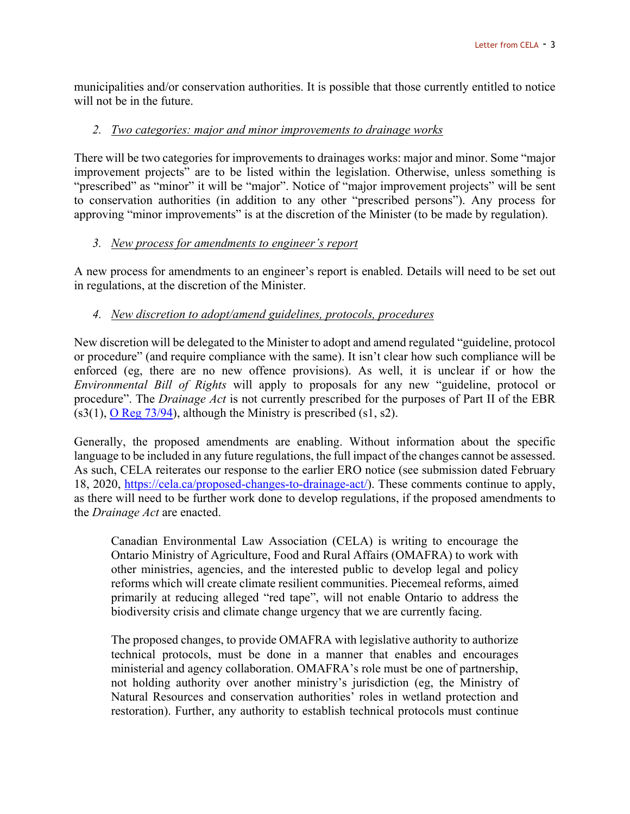municipalities and/or conservation authorities. It is possible that those currently entitled to notice will not be in the future.

#### *2. Two categories: major and minor improvements to drainage works*

There will be two categories for improvements to drainages works: major and minor. Some "major improvement projects" are to be listed within the legislation. Otherwise, unless something is "prescribed" as "minor" it will be "major". Notice of "major improvement projects" will be sent to conservation authorities (in addition to any other "prescribed persons"). Any process for approving "minor improvements" is at the discretion of the Minister (to be made by regulation).

#### *3. New process for amendments to engineer's report*

A new process for amendments to an engineer's report is enabled. Details will need to be set out in regulations, at the discretion of the Minister.

## *4. New discretion to adopt/amend guidelines, protocols, procedures*

New discretion will be delegated to the Minister to adopt and amend regulated "guideline, protocol or procedure" (and require compliance with the same). It isn't clear how such compliance will be enforced (eg, there are no new offence provisions). As well, it is unclear if or how the *Environmental Bill of Rights* will apply to proposals for any new "guideline, protocol or procedure". The *Drainage Act* is not currently prescribed for the purposes of Part II of the EBR  $(s3(1), O$  Reg 73/94), although the Ministry is prescribed  $(s1, s2)$ .

Generally, the proposed amendments are enabling. Without information about the specific language to be included in any future regulations, the full impact of the changes cannot be assessed. As such, CELA reiterates our response to the earlier ERO notice (see submission dated February 18, 2020, https://cela.ca/proposed-changes-to-drainage-act/). These comments continue to apply, as there will need to be further work done to develop regulations, if the proposed amendments to the *Drainage Act* are enacted.

Canadian Environmental Law Association (CELA) is writing to encourage the Ontario Ministry of Agriculture, Food and Rural Affairs (OMAFRA) to work with other ministries, agencies, and the interested public to develop legal and policy reforms which will create climate resilient communities. Piecemeal reforms, aimed primarily at reducing alleged "red tape", will not enable Ontario to address the biodiversity crisis and climate change urgency that we are currently facing.

The proposed changes, to provide OMAFRA with legislative authority to authorize technical protocols, must be done in a manner that enables and encourages ministerial and agency collaboration. OMAFRA's role must be one of partnership, not holding authority over another ministry's jurisdiction (eg, the Ministry of Natural Resources and conservation authorities' roles in wetland protection and restoration). Further, any authority to establish technical protocols must continue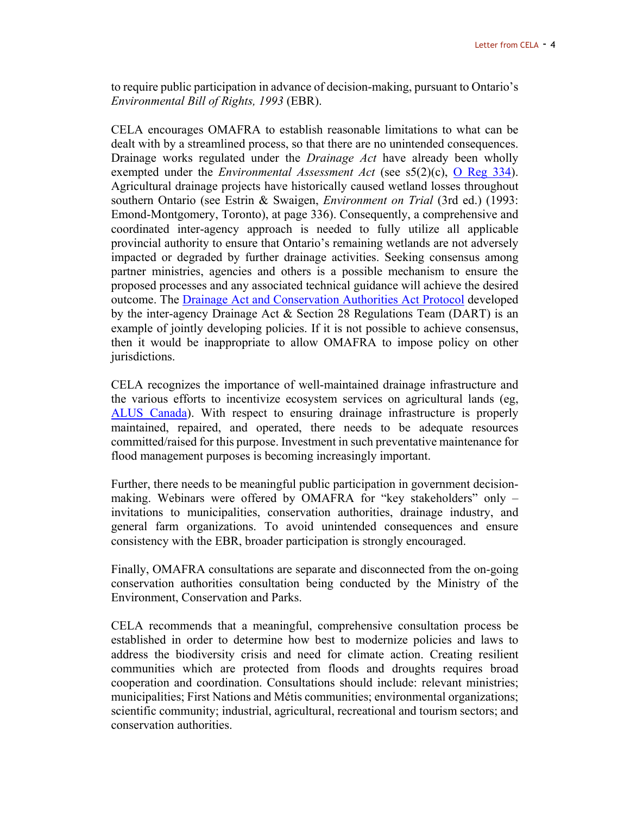to require public participation in advance of decision-making, pursuant to Ontario's *Environmental Bill of Rights, 1993* (EBR).

CELA encourages OMAFRA to establish reasonable limitations to what can be dealt with by a streamlined process, so that there are no unintended consequences. Drainage works regulated under the *Drainage Act* have already been wholly exempted under the *Environmental Assessment Act* (see s5(2)(c), O Reg 334). Agricultural drainage projects have historically caused wetland losses throughout southern Ontario (see Estrin & Swaigen, *Environment on Trial* (3rd ed.) (1993: Emond-Montgomery, Toronto), at page 336). Consequently, a comprehensive and coordinated inter-agency approach is needed to fully utilize all applicable provincial authority to ensure that Ontario's remaining wetlands are not adversely impacted or degraded by further drainage activities. Seeking consensus among partner ministries, agencies and others is a possible mechanism to ensure the proposed processes and any associated technical guidance will achieve the desired outcome. The **Drainage Act and Conservation Authorities Act Protocol** developed by the inter-agency Drainage Act  $& Section 28$  Regulations Team (DART) is an example of jointly developing policies. If it is not possible to achieve consensus, then it would be inappropriate to allow OMAFRA to impose policy on other jurisdictions.

CELA recognizes the importance of well-maintained drainage infrastructure and the various efforts to incentivize ecosystem services on agricultural lands (eg, ALUS Canada). With respect to ensuring drainage infrastructure is properly maintained, repaired, and operated, there needs to be adequate resources committed/raised for this purpose. Investment in such preventative maintenance for flood management purposes is becoming increasingly important.

Further, there needs to be meaningful public participation in government decisionmaking. Webinars were offered by OMAFRA for "key stakeholders" only – invitations to municipalities, conservation authorities, drainage industry, and general farm organizations. To avoid unintended consequences and ensure consistency with the EBR, broader participation is strongly encouraged.

Finally, OMAFRA consultations are separate and disconnected from the on-going conservation authorities consultation being conducted by the Ministry of the Environment, Conservation and Parks.

CELA recommends that a meaningful, comprehensive consultation process be established in order to determine how best to modernize policies and laws to address the biodiversity crisis and need for climate action. Creating resilient communities which are protected from floods and droughts requires broad cooperation and coordination. Consultations should include: relevant ministries; municipalities; First Nations and Métis communities; environmental organizations; scientific community; industrial, agricultural, recreational and tourism sectors; and conservation authorities.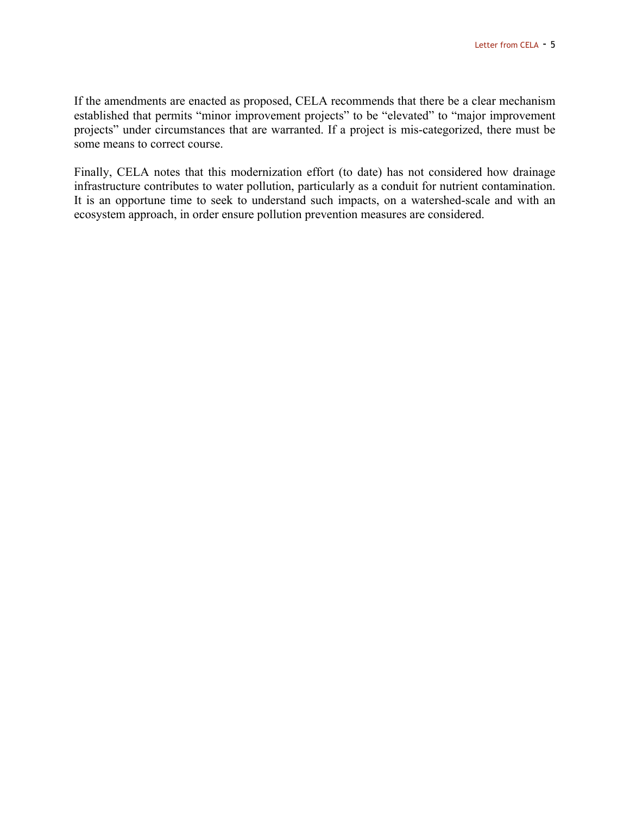If the amendments are enacted as proposed, CELA recommends that there be a clear mechanism established that permits "minor improvement projects" to be "elevated" to "major improvement projects" under circumstances that are warranted. If a project is mis-categorized, there must be some means to correct course.

Finally, CELA notes that this modernization effort (to date) has not considered how drainage infrastructure contributes to water pollution, particularly as a conduit for nutrient contamination. It is an opportune time to seek to understand such impacts, on a watershed-scale and with an ecosystem approach, in order ensure pollution prevention measures are considered.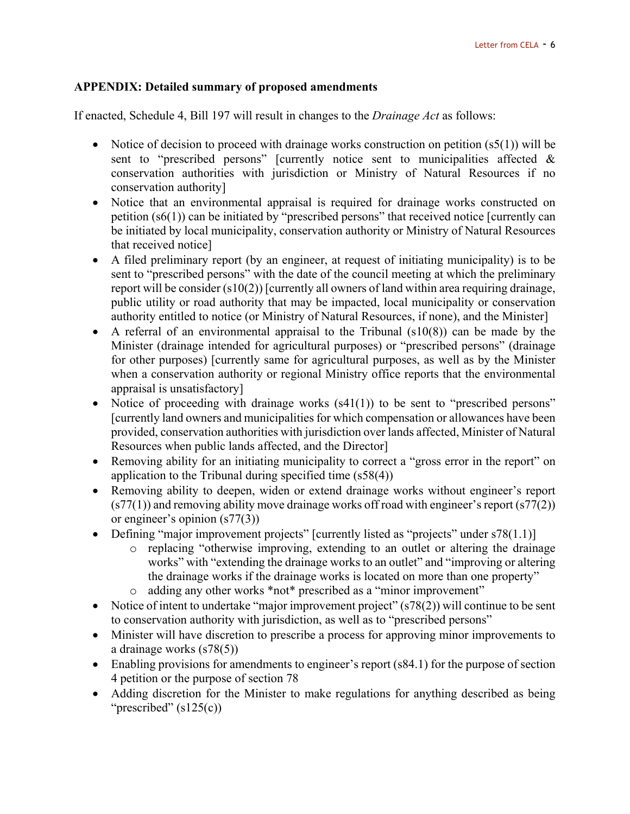#### **APPENDIX: Detailed summary of proposed amendments**

If enacted, Schedule 4, Bill 197 will result in changes to the *Drainage Act* as follows:

- Notice of decision to proceed with drainage works construction on petition  $(s5(1))$  will be sent to "prescribed persons" [currently notice sent to municipalities affected & conservation authorities with jurisdiction or Ministry of Natural Resources if no conservation authority]
- Notice that an environmental appraisal is required for drainage works constructed on petition (s6(1)) can be initiated by "prescribed persons" that received notice [currently can be initiated by local municipality, conservation authority or Ministry of Natural Resources that received notice]
- A filed preliminary report (by an engineer, at request of initiating municipality) is to be sent to "prescribed persons" with the date of the council meeting at which the preliminary report will be consider (s10(2)) [currently all owners of land within area requiring drainage, public utility or road authority that may be impacted, local municipality or conservation authority entitled to notice (or Ministry of Natural Resources, if none), and the Minister]
- A referral of an environmental appraisal to the Tribunal  $(s10(8))$  can be made by the Minister (drainage intended for agricultural purposes) or "prescribed persons" (drainage for other purposes) [currently same for agricultural purposes, as well as by the Minister when a conservation authority or regional Ministry office reports that the environmental appraisal is unsatisfactory]
- Notice of proceeding with drainage works  $(s41(1))$  to be sent to "prescribed persons" [currently land owners and municipalities for which compensation or allowances have been provided, conservation authorities with jurisdiction over lands affected, Minister of Natural Resources when public lands affected, and the Director]
- Removing ability for an initiating municipality to correct a "gross error in the report" on application to the Tribunal during specified time (s58(4))
- Removing ability to deepen, widen or extend drainage works without engineer's report  $(s77(1))$  and removing ability move drainage works off road with engineer's report  $(s77(2))$ or engineer's opinion (s77(3))
- Defining "major improvement projects" [currently listed as "projects" under  $s78(1.1)$ ]
	- o replacing "otherwise improving, extending to an outlet or altering the drainage works" with "extending the drainage works to an outlet" and "improving or altering the drainage works if the drainage works is located on more than one property" o adding any other works \*not\* prescribed as a "minor improvement"
- Notice of intent to undertake "major improvement project"  $(s78(2))$  will continue to be sent to conservation authority with jurisdiction, as well as to "prescribed persons"
- Minister will have discretion to prescribe a process for approving minor improvements to a drainage works (s78(5))
- Enabling provisions for amendments to engineer's report (s84.1) for the purpose of section 4 petition or the purpose of section 78
- Adding discretion for the Minister to make regulations for anything described as being "prescribed"  $(s125(c))$